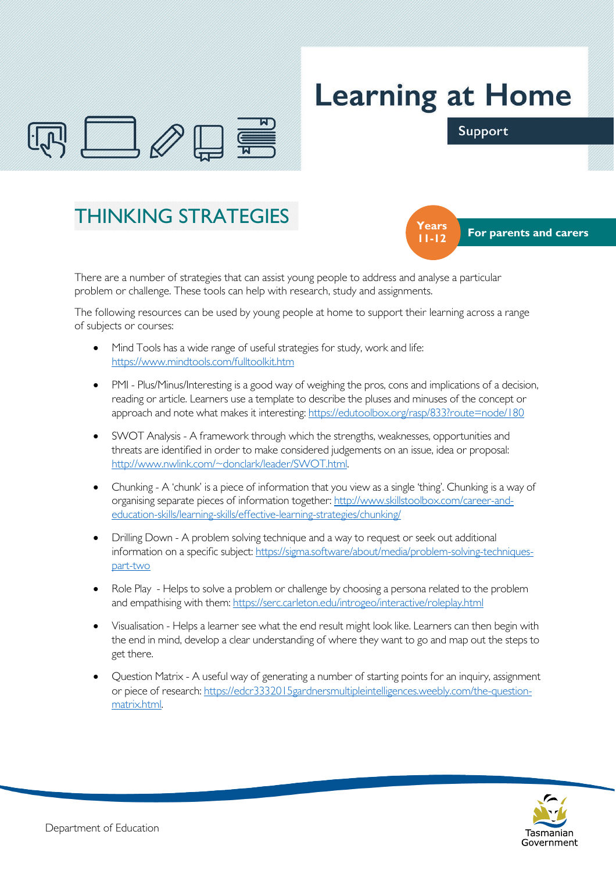

## **Learning at Home**

Support





There are a number of strategies that can assist young people to address and analyse a particular problem or challenge. These tools can help with research, study and assignments.

The following resources can be used by young people at home to support their learning across a range of subjects or courses:

- Mind Tools has a wide range of useful strategies for study, work and life: <https://www.mindtools.com/fulltoolkit.htm>
- PMI Plus/Minus/Interesting is a good way of weighing the pros, cons and implications of a decision, reading or article. Learners use a template to describe the pluses and minuses of the concept or approach and note what makes it interesting:<https://edutoolbox.org/rasp/833?route=node/180>
- SWOT Analysis A framework through which the strengths, weaknesses, opportunities and threats are identified in order to make considered judgements on an issue, idea or proposal: [http://www.nwlink.com/~donclark/leader/SWOT.html.](http://www.nwlink.com/%7Edonclark/leader/SWOT.html)
- Chunking A 'chunk' is a piece of information that you view as a single 'thing'. Chunking is a way of organising separate pieces of information together: [http://www.skillstoolbox.com/career-and](http://www.skillstoolbox.com/career-and-education-skills/learning-skills/effective-learning-strategies/chunking/)[education-skills/learning-skills/effective-learning-strategies/chunking/](http://www.skillstoolbox.com/career-and-education-skills/learning-skills/effective-learning-strategies/chunking/)
- Drilling Down A problem solving technique and a way to request or seek out additional information on a specific subject: [https://sigma.software/about/media/problem-solving-techniques](https://sigma.software/about/media/problem-solving-techniques-part-two)[part-two](https://sigma.software/about/media/problem-solving-techniques-part-two)
- Role Play Helps to solve a problem or challenge by choosing a persona related to the problem and empathising with them:<https://serc.carleton.edu/introgeo/interactive/roleplay.html>
- Visualisation Helps a learner see what the end result might look like. Learners can then begin with the end in mind, develop a clear understanding of where they want to go and map out the steps to get there.
- Question Matrix A useful way of generating a number of starting points for an inquiry, assignment or piece of research: [https://edcr3332015gardnersmultipleintelligences.weebly.com/the-question](https://edcr3332015gardnersmultipleintelligences.weebly.com/the-question-matrix.html)[matrix.html.](https://edcr3332015gardnersmultipleintelligences.weebly.com/the-question-matrix.html)